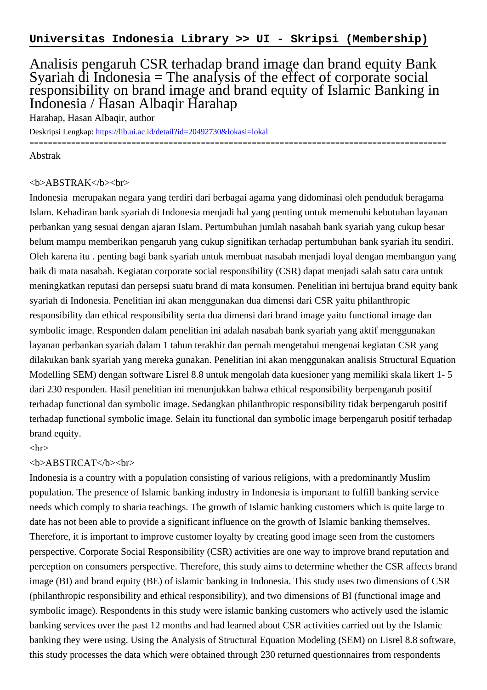## Analisis pengaruh CSR terhadap brand image dan brand equity Bank Syariah di Indonesia  $=$  The analysis of the effect of corporate social responsibility on brand image and brand equity of Islamic Banking in Indonesia / Hasan Albaqir Harahap

Harahap, Hasan Albaqir, author

Deskripsi Lengkap:<https://lib.ui.ac.id/detail?id=20492730&lokasi=lokal>

------------------------------------------------------------------------------------------

Abstrak

## <b>ABSTRAK</b><br>

Indonesia merupakan negara yang terdiri dari berbagai agama yang didominasi oleh penduduk beragama Islam. Kehadiran bank syariah di Indonesia menjadi hal yang penting untuk memenuhi kebutuhan layanan perbankan yang sesuai dengan ajaran Islam. Pertumbuhan jumlah nasabah bank syariah yang cukup besar belum mampu memberikan pengaruh yang cukup signifikan terhadap pertumbuhan bank syariah itu sendiri. Oleh karena itu . penting bagi bank syariah untuk membuat nasabah menjadi loyal dengan membangun yang baik di mata nasabah. Kegiatan corporate social responsibility (CSR) dapat menjadi salah satu cara untuk meningkatkan reputasi dan persepsi suatu brand di mata konsumen. Penelitian ini bertujua brand equity bank syariah di Indonesia. Penelitian ini akan menggunakan dua dimensi dari CSR yaitu philanthropic responsibility dan ethical responsibility serta dua dimensi dari brand image yaitu functional image dan symbolic image. Responden dalam penelitian ini adalah nasabah bank syariah yang aktif menggunakan layanan perbankan syariah dalam 1 tahun terakhir dan pernah mengetahui mengenai kegiatan CSR yang dilakukan bank syariah yang mereka gunakan. Penelitian ini akan menggunakan analisis Structural Equation Modelling SEM) dengan software Lisrel 8.8 untuk mengolah data kuesioner yang memiliki skala likert 1- 5 dari 230 responden. Hasil penelitian ini menunjukkan bahwa ethical responsibility berpengaruh positif terhadap functional dan symbolic image. Sedangkan philanthropic responsibility tidak berpengaruh positif terhadap functional symbolic image. Selain itu functional dan symbolic image berpengaruh positif terhadap brand equity.

 $\langle$ hr $>$ 

## <b>ABSTRCAT</b><br>

Indonesia is a country with a population consisting of various religions, with a predominantly Muslim population. The presence of Islamic banking industry in Indonesia is important to fulfill banking service needs which comply to sharia teachings. The growth of Islamic banking customers which is quite large to date has not been able to provide a significant influence on the growth of Islamic banking themselves. Therefore, it is important to improve customer loyalty by creating good image seen from the customers perspective. Corporate Social Responsibility (CSR) activities are one way to improve brand reputation and perception on consumers perspective. Therefore, this study aims to determine whether the CSR affects brand image (BI) and brand equity (BE) of islamic banking in Indonesia. This study uses two dimensions of CSR (philanthropic responsibility and ethical responsibility), and two dimensions of BI (functional image and symbolic image). Respondents in this study were islamic banking customers who actively used the islamic banking services over the past 12 months and had learned about CSR activities carried out by the Islamic banking they were using. Using the Analysis of Structural Equation Modeling (SEM) on Lisrel 8.8 software, this study processes the data which were obtained through 230 returned questionnaires from respondents